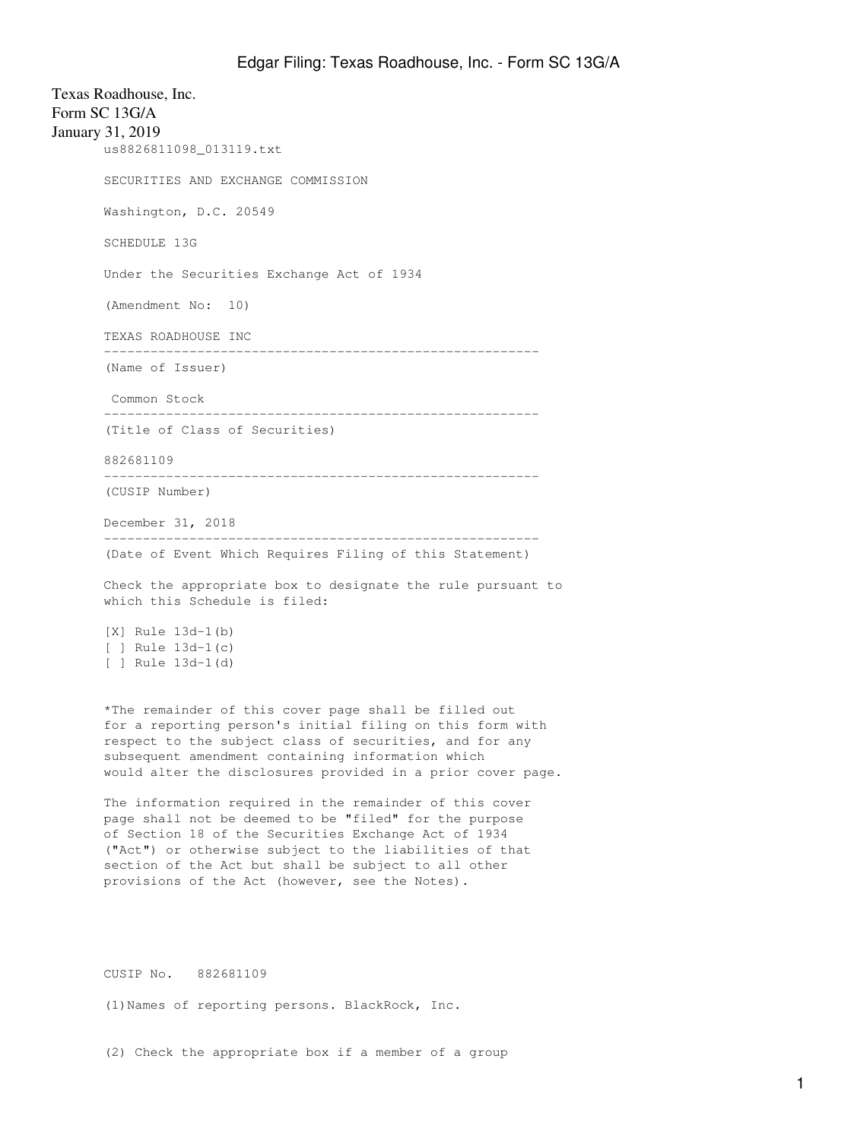Texas Roadhouse, Inc. Form SC 13G/A January 31, 2019 us8826811098\_013119.txt SECURITIES AND EXCHANGE COMMISSION Washington, D.C. 20549 SCHEDULE 13G Under the Securities Exchange Act of 1934 (Amendment No: 10) TEXAS ROADHOUSE INC -------------------------------------------------------- (Name of Issuer) Common Stock -------------------------------------------------------- (Title of Class of Securities) 882681109 -------------------------------------------------------- (CUSIP Number) December 31, 2018 -------------------------------------------------------- (Date of Event Which Requires Filing of this Statement) Check the appropriate box to designate the rule pursuant to which this Schedule is filed: [X] Rule 13d-1(b) [ ] Rule 13d-1(c) [ ] Rule 13d-1(d) \*The remainder of this cover page shall be filled out for a reporting person's initial filing on this form with respect to the subject class of securities, and for any subsequent amendment containing information which would alter the disclosures provided in a prior cover page. The information required in the remainder of this cover page shall not be deemed to be "filed" for the purpose of Section 18 of the Securities Exchange Act of 1934 ("Act") or otherwise subject to the liabilities of that section of the Act but shall be subject to all other provisions of the Act (however, see the Notes).

CUSIP No. 882681109

(1)Names of reporting persons. BlackRock, Inc.

(2) Check the appropriate box if a member of a group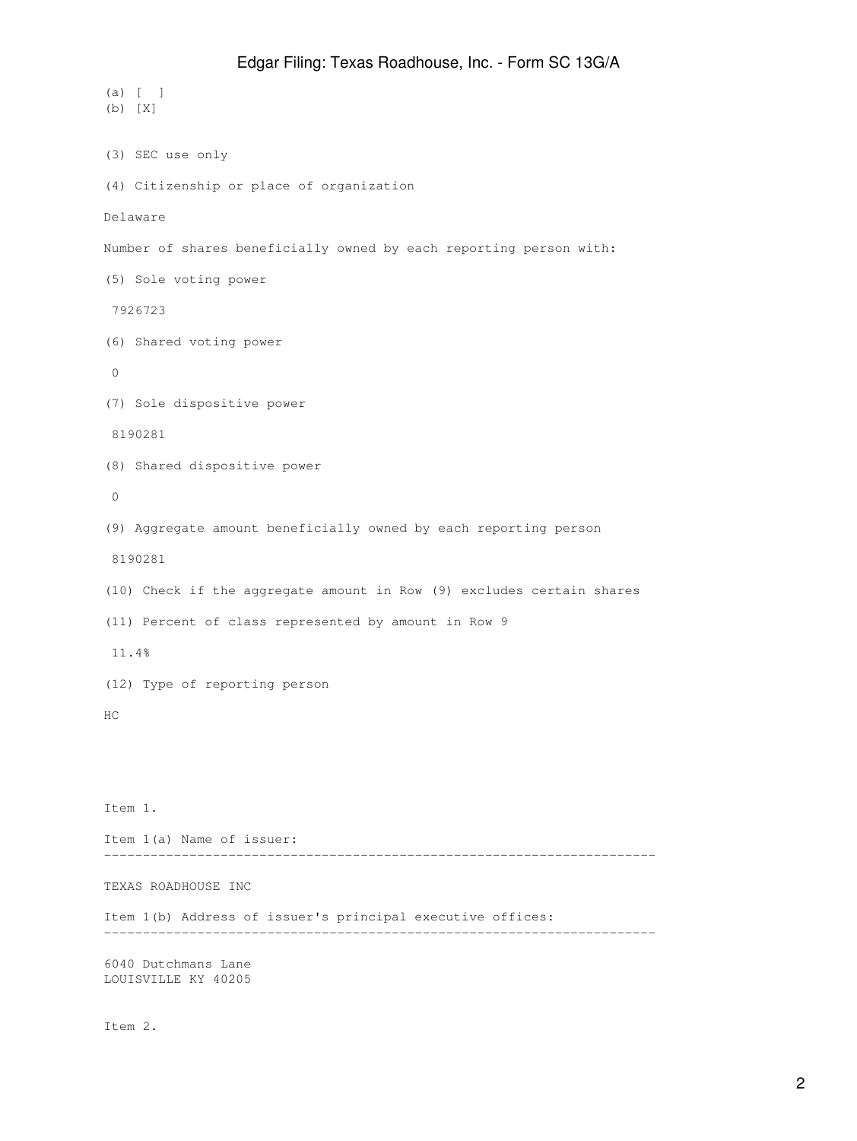```
(a) [ ]
(b) [X]
(3) SEC use only
(4) Citizenship or place of organization
Delaware
Number of shares beneficially owned by each reporting person with:
(5) Sole voting power
 7926723
(6) Shared voting power
 0
(7) Sole dispositive power
 8190281
(8) Shared dispositive power
 0
(9) Aggregate amount beneficially owned by each reporting person
 8190281
(10) Check if the aggregate amount in Row (9) excludes certain shares
(11) Percent of class represented by amount in Row 9
 11.4%
(12) Type of reporting person
HC
Item 1.
Item 1(a) Name of issuer:
-----------------------------------------------------------------------
TEXAS ROADHOUSE INC
Item 1(b) Address of issuer's principal executive offices:
-----------------------------------------------------------------------
6040 Dutchmans Lane
```
LOUISVILLE KY 40205

Item 2.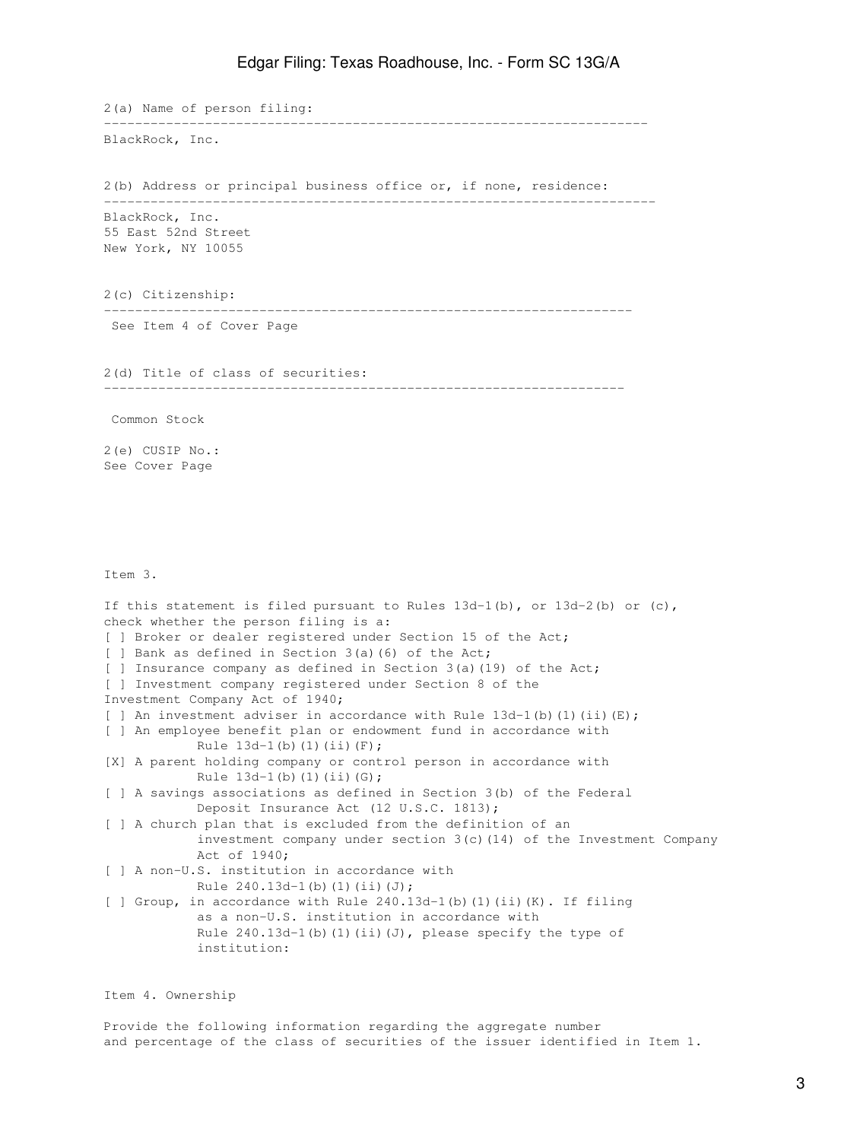2(a) Name of person filing: ---------------------------------------------------------------------- BlackRock, Inc. 2(b) Address or principal business office or, if none, residence: ----------------------------------------------------------------------- BlackRock, Inc. 55 East 52nd Street New York, NY 10055 2(c) Citizenship: -------------------------------------------------------------------- See Item 4 of Cover Page 2(d) Title of class of securities: ------------------------------------------------------------------- Common Stock 2(e) CUSIP No.: See Cover Page Item 3. If this statement is filed pursuant to Rules  $13d-1(b)$ , or  $13d-2(b)$  or  $(c)$ , check whether the person filing is a: [ ] Broker or dealer registered under Section 15 of the Act; [ ] Bank as defined in Section 3(a)(6) of the Act; [ ] Insurance company as defined in Section 3(a)(19) of the Act; [ ] Investment company registered under Section 8 of the Investment Company Act of 1940; [ ] An investment adviser in accordance with Rule  $13d-1$  (b) (1) (ii) (E); [ ] An employee benefit plan or endowment fund in accordance with Rule  $13d-1(b)$  (1)(ii)(F); [X] A parent holding company or control person in accordance with Rule  $13d-1(b)$  (1)(ii)(G); [ ] A savings associations as defined in Section 3(b) of the Federal Deposit Insurance Act (12 U.S.C. 1813); [ ] A church plan that is excluded from the definition of an investment company under section 3(c)(14) of the Investment Company Act of 1940; [ ] A non-U.S. institution in accordance with Rule  $240.13d-1(b)(1)(ii)(J);$ [ ] Group, in accordance with Rule 240.13d-1(b)(1)(ii)(K). If filing as a non-U.S. institution in accordance with Rule  $240.13d-1$ (b)(1)(ii)(J), please specify the type of institution:

Item 4. Ownership

Provide the following information regarding the aggregate number and percentage of the class of securities of the issuer identified in Item 1.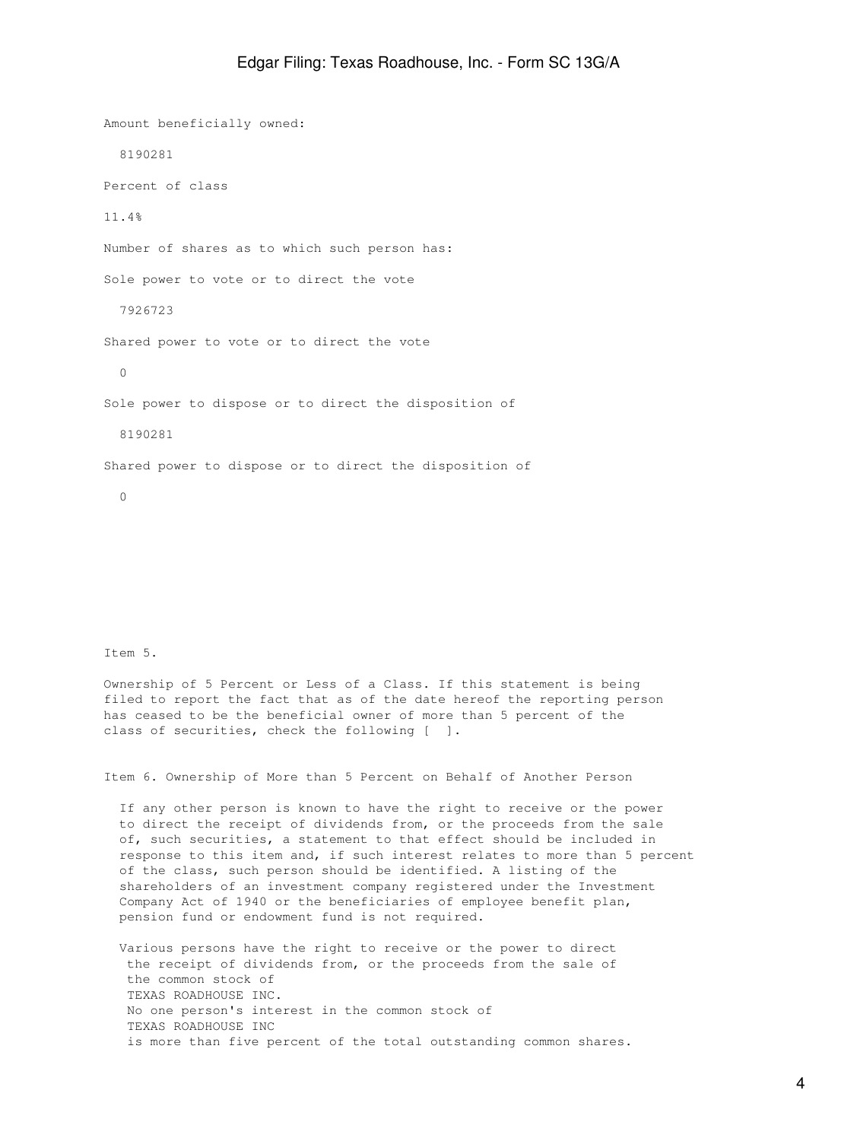Amount beneficially owned: 8190281 Percent of class 11.4% Number of shares as to which such person has: Sole power to vote or to direct the vote 7926723 Shared power to vote or to direct the vote 0 Sole power to dispose or to direct the disposition of 8190281 Shared power to dispose or to direct the disposition of 0

Item 5.

Ownership of 5 Percent or Less of a Class. If this statement is being filed to report the fact that as of the date hereof the reporting person has ceased to be the beneficial owner of more than 5 percent of the class of securities, check the following [ ].

Item 6. Ownership of More than 5 Percent on Behalf of Another Person

 If any other person is known to have the right to receive or the power to direct the receipt of dividends from, or the proceeds from the sale of, such securities, a statement to that effect should be included in response to this item and, if such interest relates to more than 5 percent of the class, such person should be identified. A listing of the shareholders of an investment company registered under the Investment Company Act of 1940 or the beneficiaries of employee benefit plan, pension fund or endowment fund is not required.

 Various persons have the right to receive or the power to direct the receipt of dividends from, or the proceeds from the sale of the common stock of TEXAS ROADHOUSE INC. No one person's interest in the common stock of TEXAS ROADHOUSE INC is more than five percent of the total outstanding common shares.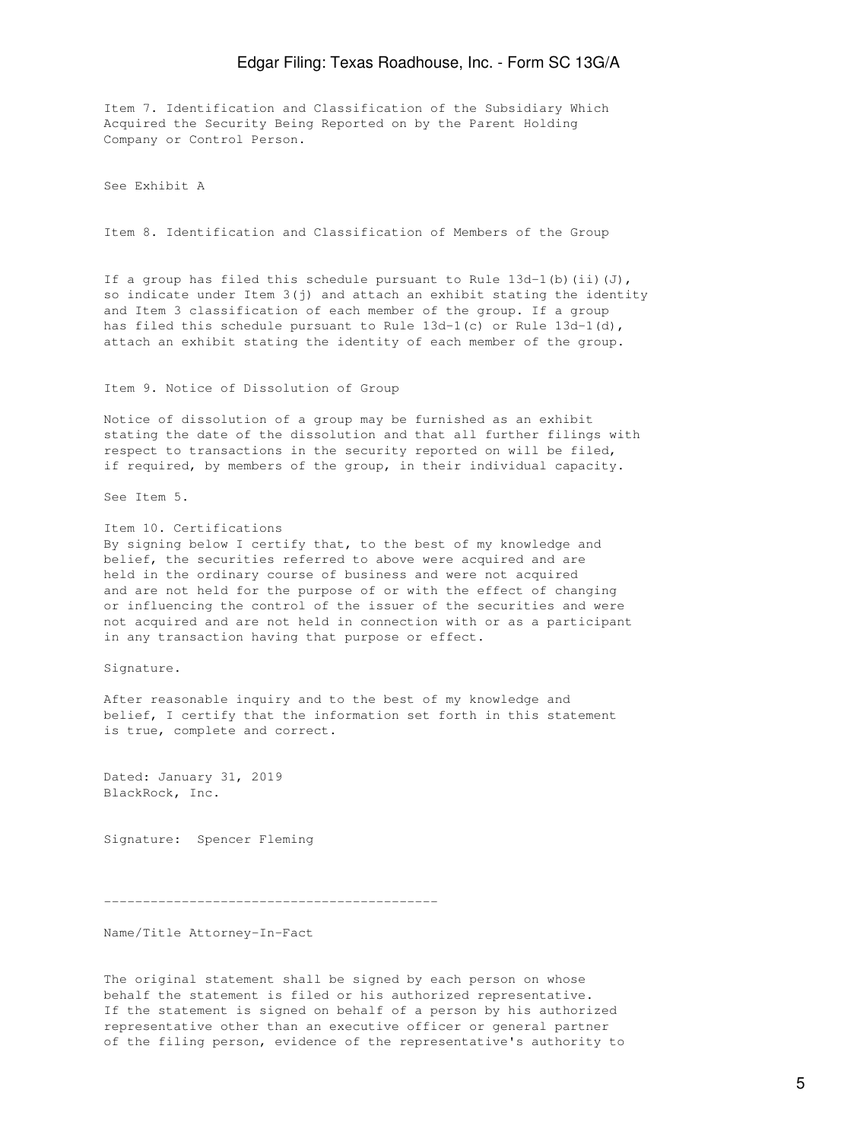Item 7. Identification and Classification of the Subsidiary Which Acquired the Security Being Reported on by the Parent Holding Company or Control Person.

See Exhibit A

Item 8. Identification and Classification of Members of the Group

If a group has filed this schedule pursuant to Rule  $13d-1$  (b) (ii)(J), so indicate under Item  $3(j)$  and attach an exhibit stating the identity and Item 3 classification of each member of the group. If a group has filed this schedule pursuant to Rule 13d-1(c) or Rule 13d-1(d), attach an exhibit stating the identity of each member of the group.

Item 9. Notice of Dissolution of Group

Notice of dissolution of a group may be furnished as an exhibit stating the date of the dissolution and that all further filings with respect to transactions in the security reported on will be filed, if required, by members of the group, in their individual capacity.

See Item 5.

Item 10. Certifications By signing below I certify that, to the best of my knowledge and belief, the securities referred to above were acquired and are held in the ordinary course of business and were not acquired and are not held for the purpose of or with the effect of changing or influencing the control of the issuer of the securities and were not acquired and are not held in connection with or as a participant in any transaction having that purpose or effect.

Signature.

After reasonable inquiry and to the best of my knowledge and belief, I certify that the information set forth in this statement is true, complete and correct.

Dated: January 31, 2019 BlackRock, Inc.

Signature: Spencer Fleming

-------------------------------------------

Name/Title Attorney-In-Fact

The original statement shall be signed by each person on whose behalf the statement is filed or his authorized representative. If the statement is signed on behalf of a person by his authorized representative other than an executive officer or general partner of the filing person, evidence of the representative's authority to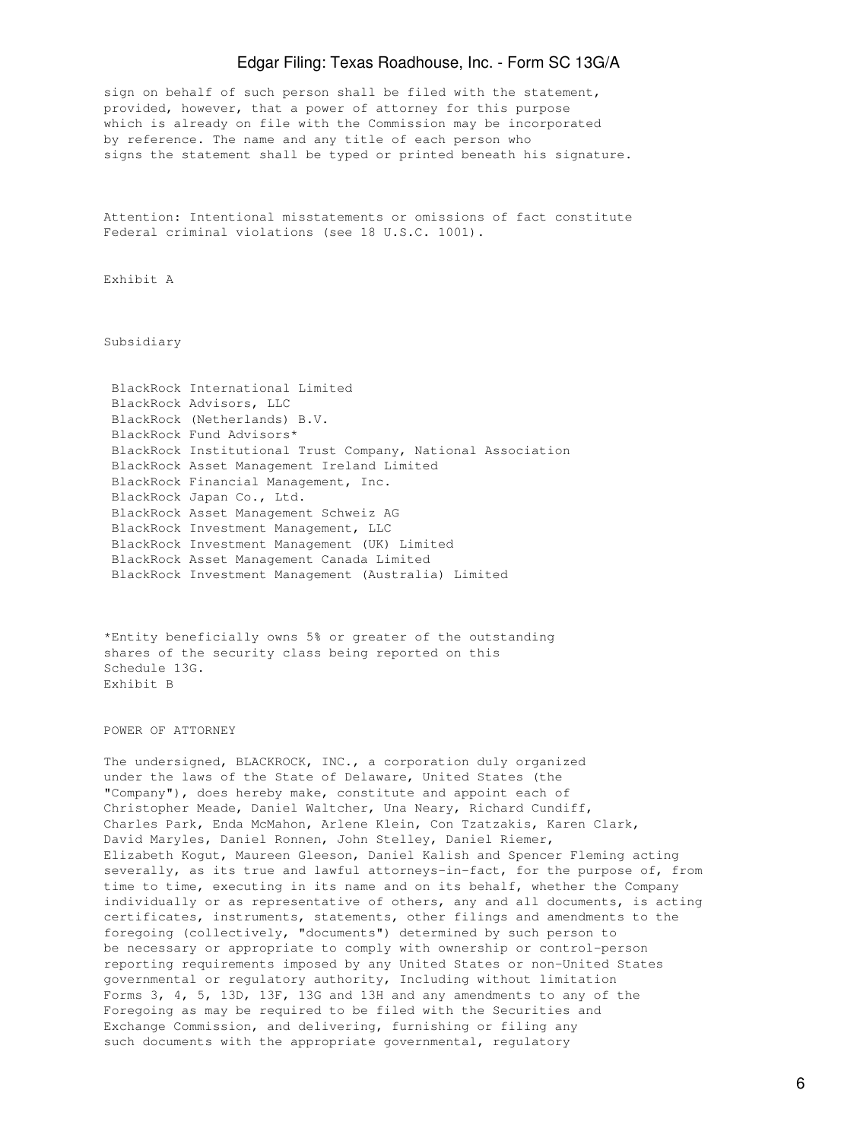sign on behalf of such person shall be filed with the statement, provided, however, that a power of attorney for this purpose which is already on file with the Commission may be incorporated by reference. The name and any title of each person who signs the statement shall be typed or printed beneath his signature.

Attention: Intentional misstatements or omissions of fact constitute Federal criminal violations (see 18 U.S.C. 1001).

Exhibit A

Subsidiary

 BlackRock International Limited BlackRock Advisors, LLC BlackRock (Netherlands) B.V. BlackRock Fund Advisors\* BlackRock Institutional Trust Company, National Association BlackRock Asset Management Ireland Limited BlackRock Financial Management, Inc. BlackRock Japan Co., Ltd. BlackRock Asset Management Schweiz AG BlackRock Investment Management, LLC BlackRock Investment Management (UK) Limited BlackRock Asset Management Canada Limited BlackRock Investment Management (Australia) Limited

\*Entity beneficially owns 5% or greater of the outstanding shares of the security class being reported on this Schedule 13G. Exhibit B

POWER OF ATTORNEY

The undersigned, BLACKROCK, INC., a corporation duly organized under the laws of the State of Delaware, United States (the "Company"), does hereby make, constitute and appoint each of Christopher Meade, Daniel Waltcher, Una Neary, Richard Cundiff, Charles Park, Enda McMahon, Arlene Klein, Con Tzatzakis, Karen Clark, David Maryles, Daniel Ronnen, John Stelley, Daniel Riemer, Elizabeth Kogut, Maureen Gleeson, Daniel Kalish and Spencer Fleming acting severally, as its true and lawful attorneys-in-fact, for the purpose of, from time to time, executing in its name and on its behalf, whether the Company individually or as representative of others, any and all documents, is acting certificates, instruments, statements, other filings and amendments to the foregoing (collectively, "documents") determined by such person to be necessary or appropriate to comply with ownership or control-person reporting requirements imposed by any United States or non-United States governmental or regulatory authority, Including without limitation Forms 3, 4, 5, 13D, 13F, 13G and 13H and any amendments to any of the Foregoing as may be required to be filed with the Securities and Exchange Commission, and delivering, furnishing or filing any such documents with the appropriate governmental, regulatory